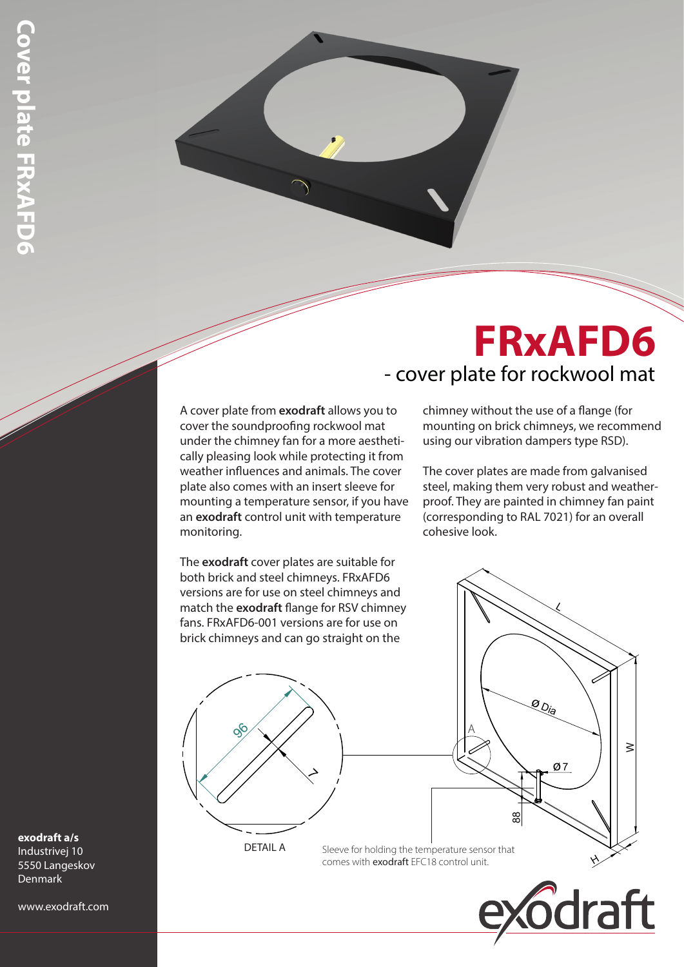## - cover plate for rockwool mat **FRxAFD6**

A cover plate from **exodraft** allows you to cover the soundproofing rockwool mat under the chimney fan for a more aesthetically pleasing look while protecting it from weather influences and animals. The cover plate also comes with an insert sleeve for mounting a temperature sensor, if you have an **exodraft** control unit with temperature monitoring.

The **exodraft** cover plates are suitable for both brick and steel chimneys. FRxAFD6 versions are for use on steel chimneys and match the **exodraft** flange for RSV chimney fans. FRxAFD6-001 versions are for use on brick chimneys and can go straight on the

chimney without the use of a flange (for mounting on brick chimneys, we recommend using our vibration dampers type RSD).

The cover plates are made from galvanised steel, making them very robust and weatherproof. They are painted in chimney fan paint (corresponding to RAL 7021) for an overall cohesive look.

**exodraft a/s**

Industrivej 10 5550 Langeskov Denmark

www.exodraft.com



DETAIL A